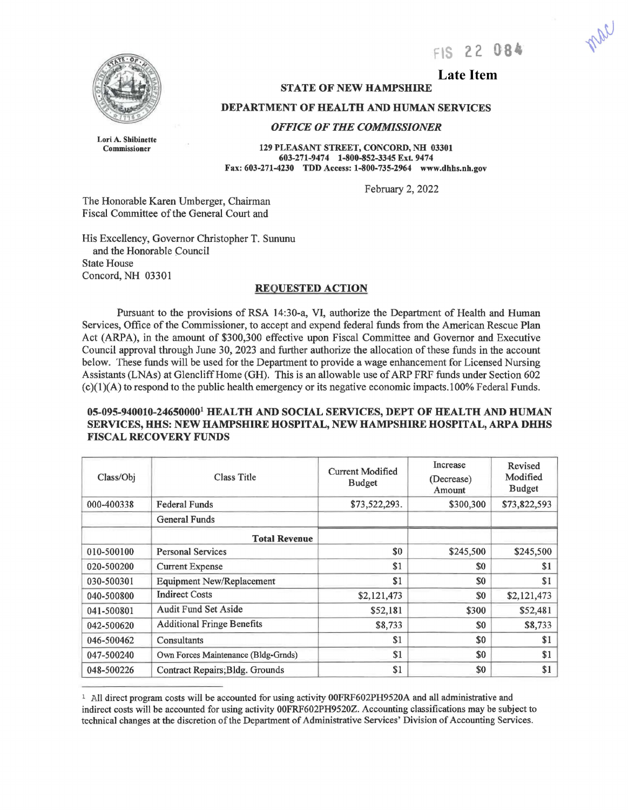FIS 22 084



# **Late Item**

### **STATE OF NEW HAMPSHIRE**

#### **DEPARTMENT OF HEALTH AND HUMAN SERVICES**

*OFFICE OF THE COMMISSIONER* 

Lori A. Shibinette Commissioner

**129 PLEASANf STREET, CONCORD, NH 03301**  603-271-9474 1-800-852-3345 Ext. 9474 **Fax: 603-271-4230 TDD Access: 1-800-735-2964 www.dhhs.nb.gov** 

February 2, 2022

The Honorable Karen Umberger, Chairman Fiscal Committee of the General Court and

His Excellency, Governor Christopher T. Sununu and the Honorable Council State House Concord, NH 03301

# **REQUESTED ACTION**

Pursuant to the provisions of RSA 14:30-a, VI, authorize the Department of Health and Human Services, Office of the Commissioner, to accept and expend federal funds from the American Rescue Plan Act (ARPA), in the amount of \$300,300 effective upon Fiscal Committee and Governor and Executive Council approval through June 30, 2023 and further authorize the allocation of these funds in the account below. These funds will be used for the Department to provide a wage enhancement for Licensed Nursing Assistants (LNAs) at Glencliff Home (GH). This is an allowable use of ARP FRF funds under Section 602  $(c)(1)(A)$  to respond to the public health emergency or its negative economic impacts.100% Federal Funds.

## **05-095-940010-246500001 HEALTH AND SOCIAL SERVICES, DEPT OF HEALTH AND HUMAN SERVICES, HHS: NEW HAMPSHIRE HOSPITAL, NEW HAMPSHIRE HOSPITAL, ARPA DHHS FISCAL RECOVERY FUNDS**

| Class/Obj  | <b>Class Title</b>                  | Current Modified<br><b>Budget</b> | Increase<br>(Decrease)<br>Amount | Revised<br>Modified<br><b>Budget</b> |
|------------|-------------------------------------|-----------------------------------|----------------------------------|--------------------------------------|
| 000-400338 | <b>Federal Funds</b>                | \$73,522,293.                     | \$300,300                        | \$73,822,593                         |
|            | <b>General Funds</b>                |                                   |                                  |                                      |
|            | <b>Total Revenue</b>                |                                   |                                  |                                      |
| 010-500100 | <b>Personal Services</b>            | \$0                               | \$245,500                        | \$245,500                            |
| 020-500200 | <b>Current Expense</b>              | \$1                               | \$0                              | \$1                                  |
| 030-500301 | <b>Equipment New/Replacement</b>    | \$1                               | \$0                              | \$1                                  |
| 040-500800 | <b>Indirect Costs</b>               | \$2,121,473                       | \$0                              | \$2,121,473                          |
| 041-500801 | <b>Audit Fund Set Aside</b>         | \$52,181                          | \$300                            | \$52,481                             |
| 042-500620 | <b>Additional Fringe Benefits</b>   | \$8,733                           | \$0                              | \$8,733                              |
| 046-500462 | Consultants                         | \$1                               | \$0                              | \$1                                  |
| 047-500240 | Own Forces Maintenance (Bldg-Grnds) | \$1                               | \$0                              | \$1                                  |
| 048-500226 | Contract Repairs; Bldg. Grounds     | \$1                               | \$0                              | \$1                                  |

<sup>1</sup> All direct program costs will be accounted for using activity O0FRF602PH9520A and all administrative and indirect costs will be accounted for using activity 00FRF602PH9520Z. Accounting classifications may be subject to technical changes at the discretion of the Department of Administrative Services' Division of Accounting Services.